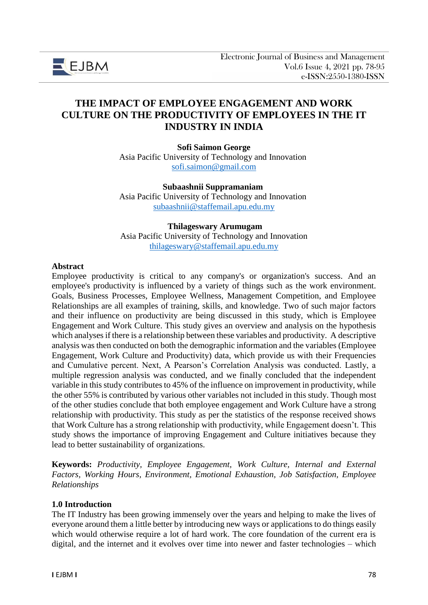

# **THE IMPACT OF EMPLOYEE ENGAGEMENT AND WORK CULTURE ON THE PRODUCTIVITY OF EMPLOYEES IN THE IT INDUSTRY IN INDIA**

**Sofi Saimon George** Asia Pacific University of Technology and Innovation [sofi.saimon@gmail.com](mailto:sofi.saimon@gmail.com)

**Subaashnii Suppramaniam** Asia Pacific University of Technology and Innovation [subaashnii@staffemail.apu.edu.my](mailto:subaashnii@staffemail.apu.edu.my)

**Thilageswary Arumugam** Asia Pacific University of Technology and Innovation [thilageswary@staffemail.apu.edu.my](mailto:thilageswary@staffemail.apu.edu.my)

#### **Abstract**

Employee productivity is critical to any company's or organization's success. And an employee's productivity is influenced by a variety of things such as the work environment. Goals, Business Processes, Employee Wellness, Management Competition, and Employee Relationships are all examples of training, skills, and knowledge. Two of such major factors and their influence on productivity are being discussed in this study, which is Employee Engagement and Work Culture. This study gives an overview and analysis on the hypothesis which analyses if there is a relationship between these variables and productivity. A descriptive analysis was then conducted on both the demographic information and the variables (Employee Engagement, Work Culture and Productivity) data, which provide us with their Frequencies and Cumulative percent. Next, A Pearson's Correlation Analysis was conducted. Lastly, a multiple regression analysis was conducted, and we finally concluded that the independent variable in this study contributes to 45% of the influence on improvement in productivity, while the other 55% is contributed by various other variables not included in this study. Though most of the other studies conclude that both employee engagement and Work Culture have a strong relationship with productivity. This study as per the statistics of the response received shows that Work Culture has a strong relationship with productivity, while Engagement doesn't. This study shows the importance of improving Engagement and Culture initiatives because they lead to better sustainability of organizations.

**Keywords:** *Productivity, Employee Engagement, Work Culture, Internal and External Factors, Working Hours, Environment, Emotional Exhaustion, Job Satisfaction, Employee Relationships*

#### **1.0 Introduction**

The IT Industry has been growing immensely over the years and helping to make the lives of everyone around them a little better by introducing new ways or applications to do things easily which would otherwise require a lot of hard work. The core foundation of the current era is digital, and the internet and it evolves over time into newer and faster technologies – which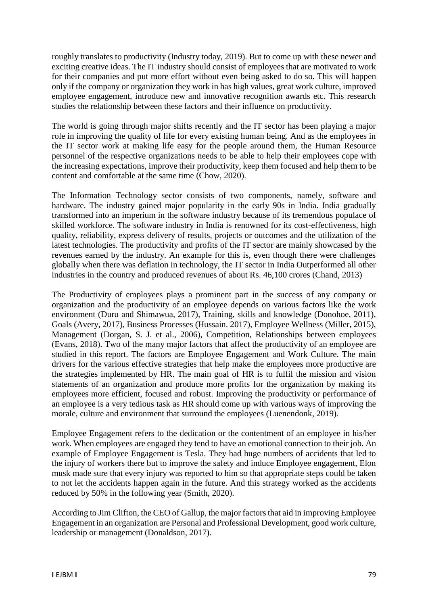roughly translates to productivity (Industry today, 2019). But to come up with these newer and exciting creative ideas. The IT industry should consist of employees that are motivated to work for their companies and put more effort without even being asked to do so. This will happen only if the company or organization they work in has high values, great work culture, improved employee engagement, introduce new and innovative recognition awards etc. This research studies the relationship between these factors and their influence on productivity.

The world is going through major shifts recently and the IT sector has been playing a major role in improving the quality of life for every existing human being. And as the employees in the IT sector work at making life easy for the people around them, the Human Resource personnel of the respective organizations needs to be able to help their employees cope with the increasing expectations, improve their productivity, keep them focused and help them to be content and comfortable at the same time (Chow, 2020).

The Information Technology sector consists of two components, namely, software and hardware. The industry gained major popularity in the early 90s in India. India gradually transformed into an imperium in the software industry because of its tremendous populace of skilled workforce. The software industry in India is renowned for its cost-effectiveness, high quality, reliability, express delivery of results, projects or outcomes and the utilization of the latest technologies. The productivity and profits of the IT sector are mainly showcased by the revenues earned by the industry. An example for this is, even though there were challenges globally when there was deflation in technology, the IT sector in India Outperformed all other industries in the country and produced revenues of about Rs. 46,100 crores (Chand, 2013)

The Productivity of employees plays a prominent part in the success of any company or organization and the productivity of an employee depends on various factors like the work environment (Duru and Shimawua, 2017), Training, skills and knowledge (Donohoe, 2011), Goals (Avery, 2017), Business Processes (Hussain. 2017), Employee Wellness (Miller, 2015), Management (Dorgan, S. J. et al., 2006), Competition, Relationships between employees (Evans, 2018). Two of the many major factors that affect the productivity of an employee are studied in this report. The factors are Employee Engagement and Work Culture. The main drivers for the various effective strategies that help make the employees more productive are the strategies implemented by HR. The main goal of HR is to fulfil the mission and vision statements of an organization and produce more profits for the organization by making its employees more efficient, focused and robust. Improving the productivity or performance of an employee is a very tedious task as HR should come up with various ways of improving the morale, culture and environment that surround the employees (Luenendonk, 2019).

Employee Engagement refers to the dedication or the contentment of an employee in his/her work. When employees are engaged they tend to have an emotional connection to their job. An example of Employee Engagement is Tesla. They had huge numbers of accidents that led to the injury of workers there but to improve the safety and induce Employee engagement, Elon musk made sure that every injury was reported to him so that appropriate steps could be taken to not let the accidents happen again in the future. And this strategy worked as the accidents reduced by 50% in the following year (Smith, 2020).

According to Jim Clifton, the CEO of Gallup, the major factors that aid in improving Employee Engagement in an organization are Personal and Professional Development, good work culture, leadership or management (Donaldson, 2017).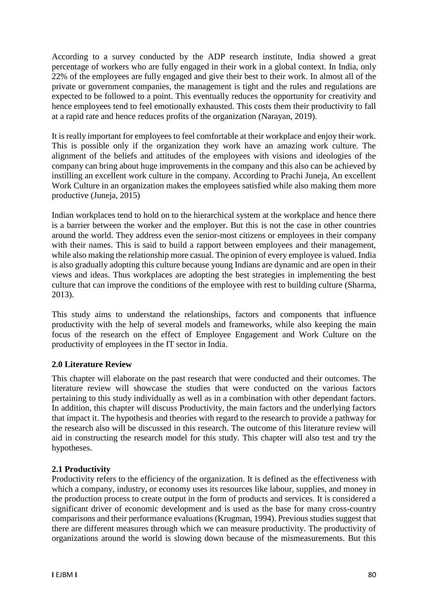According to a survey conducted by the ADP research institute, India showed a great percentage of workers who are fully engaged in their work in a global context. In India, only 22% of the employees are fully engaged and give their best to their work. In almost all of the private or government companies, the management is tight and the rules and regulations are expected to be followed to a point. This eventually reduces the opportunity for creativity and hence employees tend to feel emotionally exhausted. This costs them their productivity to fall at a rapid rate and hence reduces profits of the organization (Narayan, 2019).

It is really important for employees to feel comfortable at their workplace and enjoy their work. This is possible only if the organization they work have an amazing work culture. The alignment of the beliefs and attitudes of the employees with visions and ideologies of the company can bring about huge improvements in the company and this also can be achieved by instilling an excellent work culture in the company. According to Prachi Juneja, An excellent Work Culture in an organization makes the employees satisfied while also making them more productive (Juneja, 2015)

Indian workplaces tend to hold on to the hierarchical system at the workplace and hence there is a barrier between the worker and the employer. But this is not the case in other countries around the world. They address even the senior-most citizens or employees in their company with their names. This is said to build a rapport between employees and their management, while also making the relationship more casual. The opinion of every employee is valued. India is also gradually adopting this culture because young Indians are dynamic and are open in their views and ideas. Thus workplaces are adopting the best strategies in implementing the best culture that can improve the conditions of the employee with rest to building culture (Sharma, 2013).

This study aims to understand the relationships, factors and components that influence productivity with the help of several models and frameworks, while also keeping the main focus of the research on the effect of Employee Engagement and Work Culture on the productivity of employees in the IT sector in India.

### **2.0 Literature Review**

This chapter will elaborate on the past research that were conducted and their outcomes. The literature review will showcase the studies that were conducted on the various factors pertaining to this study individually as well as in a combination with other dependant factors. In addition, this chapter will discuss Productivity, the main factors and the underlying factors that impact it. The hypothesis and theories with regard to the research to provide a pathway for the research also will be discussed in this research. The outcome of this literature review will aid in constructing the research model for this study. This chapter will also test and try the hypotheses.

### **2.1 Productivity**

Productivity refers to the efficiency of the organization. It is defined as the effectiveness with which a company, industry, or economy uses its resources like labour, supplies, and money in the production process to create output in the form of products and services. It is considered a significant driver of economic development and is used as the base for many cross-country comparisons and their performance evaluations (Krugman, 1994). Previous studies suggest that there are different measures through which we can measure productivity. The productivity of organizations around the world is slowing down because of the mismeasurements. But this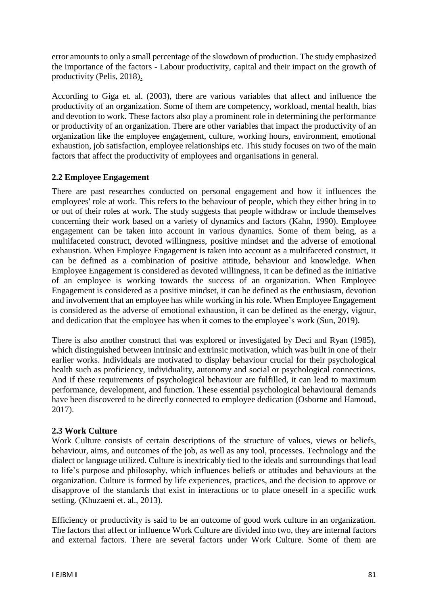error amounts to only a small percentage of the slowdown of production. The study emphasized the importance of the factors - Labour productivity, capital and their impact on the growth of productivity (Pelis, 2018).

According to Giga et. al. (2003), there are various variables that affect and influence the productivity of an organization. Some of them are competency, workload, mental health, bias and devotion to work. These factors also play a prominent role in determining the performance or productivity of an organization. There are other variables that impact the productivity of an organization like the employee engagement, culture, working hours, environment, emotional exhaustion, job satisfaction, employee relationships etc. This study focuses on two of the main factors that affect the productivity of employees and organisations in general.

## **2.2 Employee Engagement**

There are past researches conducted on personal engagement and how it influences the employees' role at work. This refers to the behaviour of people, which they either bring in to or out of their roles at work. The study suggests that people withdraw or include themselves concerning their work based on a variety of dynamics and factors (Kahn, 1990). Employee engagement can be taken into account in various dynamics. Some of them being, as a multifaceted construct, devoted willingness, positive mindset and the adverse of emotional exhaustion. When Employee Engagement is taken into account as a multifaceted construct, it can be defined as a combination of positive attitude, behaviour and knowledge. When Employee Engagement is considered as devoted willingness, it can be defined as the initiative of an employee is working towards the success of an organization. When Employee Engagement is considered as a positive mindset, it can be defined as the enthusiasm, devotion and involvement that an employee has while working in his role. When Employee Engagement is considered as the adverse of emotional exhaustion, it can be defined as the energy, vigour, and dedication that the employee has when it comes to the employee's work (Sun, 2019).

There is also another construct that was explored or investigated by Deci and Ryan (1985), which distinguished between intrinsic and extrinsic motivation, which was built in one of their earlier works. Individuals are motivated to display behaviour crucial for their psychological health such as proficiency, individuality, autonomy and social or psychological connections. And if these requirements of psychological behaviour are fulfilled, it can lead to maximum performance, development, and function. These essential psychological behavioural demands have been discovered to be directly connected to employee dedication (Osborne and Hamoud, 2017).

### **2.3 Work Culture**

Work Culture consists of certain descriptions of the structure of values, views or beliefs, behaviour, aims, and outcomes of the job, as well as any tool, processes. Technology and the dialect or language utilized. Culture is inextricably tied to the ideals and surroundings that lead to life's purpose and philosophy, which influences beliefs or attitudes and behaviours at the organization. Culture is formed by life experiences, practices, and the decision to approve or disapprove of the standards that exist in interactions or to place oneself in a specific work setting. (Khuzaeni et. al., 2013).

Efficiency or productivity is said to be an outcome of good work culture in an organization. The factors that affect or influence Work Culture are divided into two, they are internal factors and external factors. There are several factors under Work Culture. Some of them are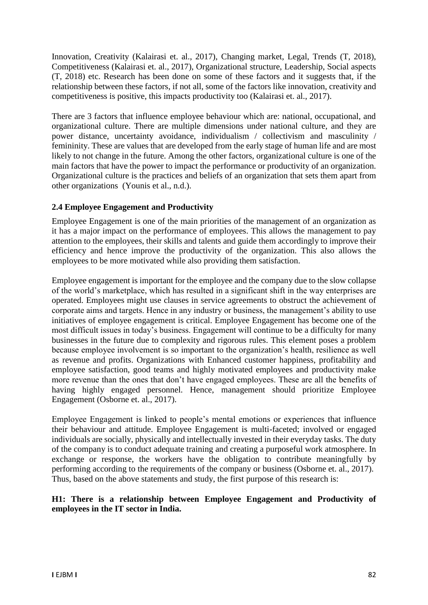Innovation, Creativity (Kalairasi et. al., 2017), Changing market, Legal, Trends (T, 2018), Competitiveness (Kalairasi et. al., 2017), Organizational structure, Leadership, Social aspects (T, 2018) etc. Research has been done on some of these factors and it suggests that, if the relationship between these factors, if not all, some of the factors like innovation, creativity and competitiveness is positive, this impacts productivity too (Kalairasi et. al., 2017).

There are 3 factors that influence employee behaviour which are: national, occupational, and organizational culture. There are multiple dimensions under national culture, and they are power distance, uncertainty avoidance, individualism / collectivism and masculinity / femininity. These are values that are developed from the early stage of human life and are most likely to not change in the future. Among the other factors, organizational culture is one of the main factors that have the power to impact the performance or productivity of an organization. Organizational culture is the practices and beliefs of an organization that sets them apart from other organizations (Younis et al., n.d.).

## **2.4 Employee Engagement and Productivity**

Employee Engagement is one of the main priorities of the management of an organization as it has a major impact on the performance of employees. This allows the management to pay attention to the employees, their skills and talents and guide them accordingly to improve their efficiency and hence improve the productivity of the organization. This also allows the employees to be more motivated while also providing them satisfaction.

Employee engagement is important for the employee and the company due to the slow collapse of the world's marketplace, which has resulted in a significant shift in the way enterprises are operated. Employees might use clauses in service agreements to obstruct the achievement of corporate aims and targets. Hence in any industry or business, the management's ability to use initiatives of employee engagement is critical. Employee Engagement has become one of the most difficult issues in today's business. Engagement will continue to be a difficulty for many businesses in the future due to complexity and rigorous rules. This element poses a problem because employee involvement is so important to the organization's health, resilience as well as revenue and profits. Organizations with Enhanced customer happiness, profitability and employee satisfaction, good teams and highly motivated employees and productivity make more revenue than the ones that don't have engaged employees. These are all the benefits of having highly engaged personnel. Hence, management should prioritize Employee Engagement (Osborne et. al., 2017).

Employee Engagement is linked to people's mental emotions or experiences that influence their behaviour and attitude. Employee Engagement is multi-faceted; involved or engaged individuals are socially, physically and intellectually invested in their everyday tasks. The duty of the company is to conduct adequate training and creating a purposeful work atmosphere. In exchange or response, the workers have the obligation to contribute meaningfully by performing according to the requirements of the company or business (Osborne et. al., 2017). Thus, based on the above statements and study, the first purpose of this research is:

## **H1: There is a relationship between Employee Engagement and Productivity of employees in the IT sector in India.**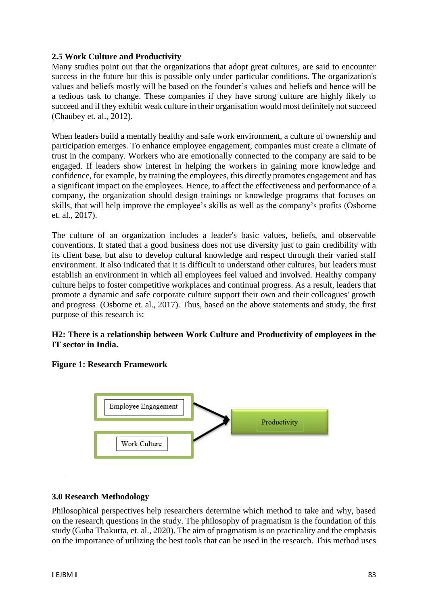### **2.5 Work Culture and Productivity**

Many studies point out that the organizations that adopt great cultures, are said to encounter success in the future but this is possible only under particular conditions. The organization's values and beliefs mostly will be based on the founder's values and beliefs and hence will be a tedious task to change. These companies if they have strong culture are highly likely to succeed and if they exhibit weak culture in their organisation would most definitely not succeed (Chaubey et. al., 2012).

When leaders build a mentally healthy and safe work environment, a culture of ownership and participation emerges. To enhance employee engagement, companies must create a climate of trust in the company. Workers who are emotionally connected to the company are said to be engaged. If leaders show interest in helping the workers in gaining more knowledge and confidence, for example, by training the employees, this directly promotes engagement and has a significant impact on the employees. Hence, to affect the effectiveness and performance of a company, the organization should design trainings or knowledge programs that focuses on skills, that will help improve the employee's skills as well as the company's profits (Osborne et. al., 2017).

The culture of an organization includes a leader's basic values, beliefs, and observable conventions. It stated that a good business does not use diversity just to gain credibility with its client base, but also to develop cultural knowledge and respect through their varied staff environment. It also indicated that it is difficult to understand other cultures, but leaders must establish an environment in which all employees feel valued and involved. Healthy company culture helps to foster competitive workplaces and continual progress. As a result, leaders that promote a dynamic and safe corporate culture support their own and their colleagues' growth and progress (Osborne et. al., 2017). Thus, based on the above statements and study, the first purpose of this research is:

## **H2: There is a relationship between Work Culture and Productivity of employees in the IT sector in India.**

### **Figure 1: Research Framework**



### **3.0 Research Methodology**

Philosophical perspectives help researchers determine which method to take and why, based on the research questions in the study. The philosophy of pragmatism is the foundation of this study (Guha Thakurta, et. al., 2020). The aim of pragmatism is on practicality and the emphasis on the importance of utilizing the best tools that can be used in the research. This method uses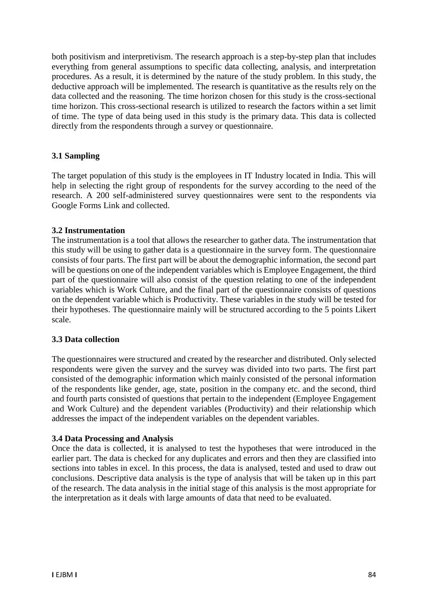both positivism and interpretivism. The research approach is a step-by-step plan that includes everything from general assumptions to specific data collecting, analysis, and interpretation procedures. As a result, it is determined by the nature of the study problem. In this study, the deductive approach will be implemented. The research is quantitative as the results rely on the data collected and the reasoning. The time horizon chosen for this study is the cross-sectional time horizon. This cross-sectional research is utilized to research the factors within a set limit of time. The type of data being used in this study is the primary data. This data is collected directly from the respondents through a survey or questionnaire.

### **3.1 Sampling**

The target population of this study is the employees in IT Industry located in India. This will help in selecting the right group of respondents for the survey according to the need of the research. A 200 self-administered survey questionnaires were sent to the respondents via Google Forms Link and collected.

### **3.2 Instrumentation**

The instrumentation is a tool that allows the researcher to gather data. The instrumentation that this study will be using to gather data is a questionnaire in the survey form. The questionnaire consists of four parts. The first part will be about the demographic information, the second part will be questions on one of the independent variables which is Employee Engagement, the third part of the questionnaire will also consist of the question relating to one of the independent variables which is Work Culture, and the final part of the questionnaire consists of questions on the dependent variable which is Productivity. These variables in the study will be tested for their hypotheses. The questionnaire mainly will be structured according to the 5 points Likert scale.

### **3.3 Data collection**

The questionnaires were structured and created by the researcher and distributed. Only selected respondents were given the survey and the survey was divided into two parts. The first part consisted of the demographic information which mainly consisted of the personal information of the respondents like gender, age, state, position in the company etc. and the second, third and fourth parts consisted of questions that pertain to the independent (Employee Engagement and Work Culture) and the dependent variables (Productivity) and their relationship which addresses the impact of the independent variables on the dependent variables.

### **3.4 Data Processing and Analysis**

Once the data is collected, it is analysed to test the hypotheses that were introduced in the earlier part. The data is checked for any duplicates and errors and then they are classified into sections into tables in excel. In this process, the data is analysed, tested and used to draw out conclusions. Descriptive data analysis is the type of analysis that will be taken up in this part of the research. The data analysis in the initial stage of this analysis is the most appropriate for the interpretation as it deals with large amounts of data that need to be evaluated.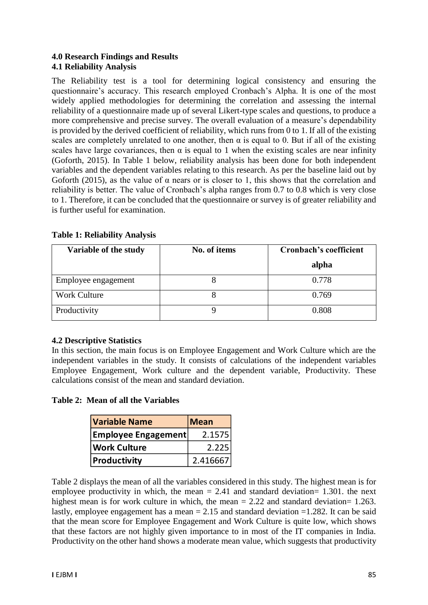### **4.0 Research Findings and Results 4.1 Reliability Analysis**

The Reliability test is a tool for determining logical consistency and ensuring the questionnaire's accuracy. This research employed Cronbach's Alpha. It is one of the most widely applied methodologies for determining the correlation and assessing the internal reliability of a questionnaire made up of several Likert-type scales and questions, to produce a more comprehensive and precise survey. The overall evaluation of a measure's dependability is provided by the derived coefficient of reliability, which runs from 0 to 1. If all of the existing scales are completely unrelated to one another, then  $\alpha$  is equal to 0. But if all of the existing scales have large covariances, then  $\alpha$  is equal to 1 when the existing scales are near infinity (Goforth, 2015). In Table 1 below, reliability analysis has been done for both independent variables and the dependent variables relating to this research. As per the baseline laid out by Goforth (2015), as the value of  $\alpha$  nears or is closer to 1, this shows that the correlation and reliability is better. The value of Cronbach's alpha ranges from 0.7 to 0.8 which is very close to 1. Therefore, it can be concluded that the questionnaire or survey is of greater reliability and is further useful for examination.

| Variable of the study | No. of items | Cronbach's coefficient |  |  |
|-----------------------|--------------|------------------------|--|--|
|                       |              | alpha                  |  |  |
| Employee engagement   |              | 0.778                  |  |  |
| <b>Work Culture</b>   |              | 0.769                  |  |  |
| Productivity          |              | 0.808                  |  |  |

#### **Table 1: Reliability Analysis**

### **4.2 Descriptive Statistics**

In this section, the main focus is on Employee Engagement and Work Culture which are the independent variables in the study. It consists of calculations of the independent variables Employee Engagement, Work culture and the dependent variable, Productivity. These calculations consist of the mean and standard deviation.

### **Table 2: Mean of all the Variables**

| <b>Variable Name</b>       | <b>Mean</b> |
|----------------------------|-------------|
| <b>Employee Engagement</b> | 2.1575      |
| <b>Work Culture</b>        | 2.225       |
| Productivity               | 2.416667    |

Table 2 displays the mean of all the variables considered in this study. The highest mean is for employee productivity in which, the mean  $= 2.41$  and standard deviation= 1.301, the next highest mean is for work culture in which, the mean  $= 2.22$  and standard deviation= 1.263. lastly, employee engagement has a mean  $= 2.15$  and standard deviation  $= 1.282$ . It can be said that the mean score for Employee Engagement and Work Culture is quite low, which shows that these factors are not highly given importance to in most of the IT companies in India. Productivity on the other hand shows a moderate mean value, which suggests that productivity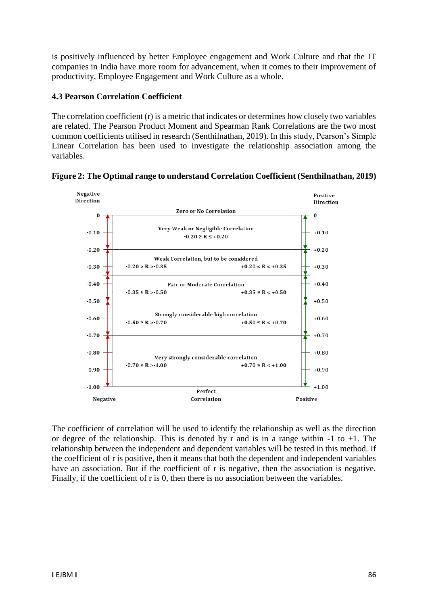is positively influenced by better Employee engagement and Work Culture and that the IT companies in India have more room for advancement, when it comes to their improvement of productivity, Employee Engagement and Work Culture as a whole.

### **4.3 Pearson Correlation Coefficient**

The correlation coefficient (r) is a metric that indicates or determines how closely two variables are related. The Pearson Product Moment and Spearman Rank Correlations are the two most common coefficients utilised in research (Senthilnathan, 2019). In this study, Pearson's Simple Linear Correlation has been used to investigate the relationship association among the variables.





The coefficient of correlation will be used to identify the relationship as well as the direction or degree of the relationship. This is denoted by r and is in a range within  $-1$  to  $+1$ . The relationship between the independent and dependent variables will be tested in this method. If the coefficient of r is positive, then it means that both the dependent and independent variables have an association. But if the coefficient of r is negative, then the association is negative. Finally, if the coefficient of r is 0, then there is no association between the variables.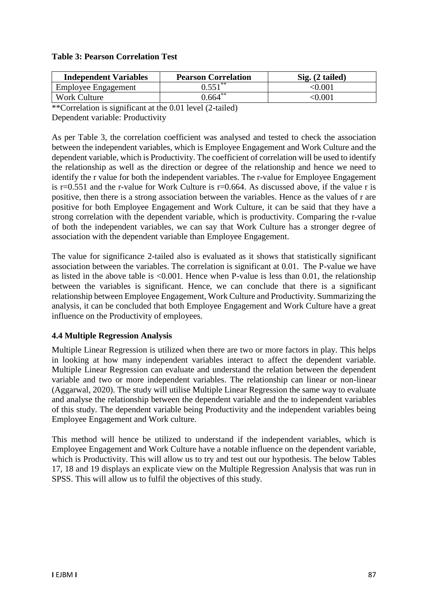#### **Table 3: Pearson Correlation Test**

| <b>Independent Variables</b> | <b>Pearson Correlation</b> | Sig. (2 tailed)            |
|------------------------------|----------------------------|----------------------------|
| <b>Employee Engagement</b>   | $0.551***$                 | $<\!\!0.001$               |
| Work Culture                 | $0.664***$                 | $< \hspace{-0.06in} 0.001$ |

\*\*Correlation is significant at the 0.01 level (2-tailed) Dependent variable: Productivity

As per Table 3, the correlation coefficient was analysed and tested to check the association between the independent variables, which is Employee Engagement and Work Culture and the dependent variable, which is Productivity. The coefficient of correlation will be used to identify the relationship as well as the direction or degree of the relationship and hence we need to identify the r value for both the independent variables. The r-value for Employee Engagement is  $r=0.551$  and the r-value for Work Culture is  $r=0.664$ . As discussed above, if the value r is positive, then there is a strong association between the variables. Hence as the values of r are positive for both Employee Engagement and Work Culture, it can be said that they have a strong correlation with the dependent variable, which is productivity. Comparing the r-value of both the independent variables, we can say that Work Culture has a stronger degree of association with the dependent variable than Employee Engagement.

The value for significance 2-tailed also is evaluated as it shows that statistically significant association between the variables. The correlation is significant at 0.01. The P-value we have as listed in the above table is  $\leq 0.001$ . Hence when P-value is less than 0.01, the relationship between the variables is significant. Hence, we can conclude that there is a significant relationship between Employee Engagement, Work Culture and Productivity. Summarizing the analysis, it can be concluded that both Employee Engagement and Work Culture have a great influence on the Productivity of employees.

### **4.4 Multiple Regression Analysis**

Multiple Linear Regression is utilized when there are two or more factors in play. This helps in looking at how many independent variables interact to affect the dependent variable. Multiple Linear Regression can evaluate and understand the relation between the dependent variable and two or more independent variables. The relationship can linear or non-linear (Aggarwal, 2020). The study will utilise Multiple Linear Regression the same way to evaluate and analyse the relationship between the dependent variable and the to independent variables of this study. The dependent variable being Productivity and the independent variables being Employee Engagement and Work culture.

This method will hence be utilized to understand if the independent variables, which is Employee Engagement and Work Culture have a notable influence on the dependent variable, which is Productivity. This will allow us to try and test out our hypothesis. The below Tables 17, 18 and 19 displays an explicate view on the Multiple Regression Analysis that was run in SPSS. This will allow us to fulfil the objectives of this study.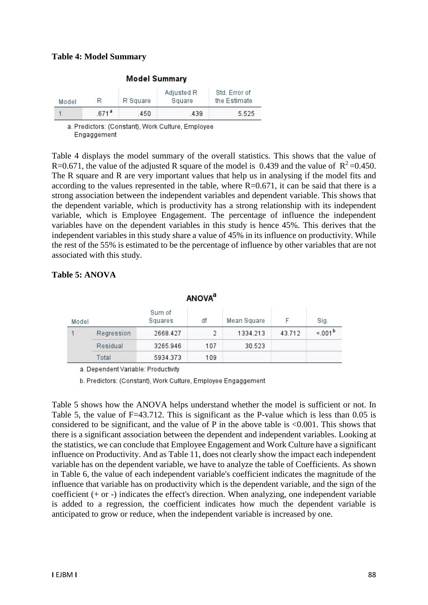#### **Table 4: Model Summary**

| Model |                   | R Square | Adjusted R<br>Square | Std. Error of<br>the Estimate |  |
|-------|-------------------|----------|----------------------|-------------------------------|--|
|       | .671 <sup>a</sup> | 450      | 439                  | 5.525                         |  |

**Model Summary** 

a. Predictors: (Constant), Work Culture, Employee Engaggement

Table 4 displays the model summary of the overall statistics. This shows that the value of R=0.671, the value of the adjusted R square of the model is 0.439 and the value of  $R^2$ =0.450. The R square and R are very important values that help us in analysing if the model fits and according to the values represented in the table, where  $R=0.671$ , it can be said that there is a strong association between the independent variables and dependent variable. This shows that the dependent variable, which is productivity has a strong relationship with its independent variable, which is Employee Engagement. The percentage of influence the independent variables have on the dependent variables in this study is hence 45%. This derives that the independent variables in this study share a value of 45% in its influence on productivity. While the rest of the 55% is estimated to be the percentage of influence by other variables that are not associated with this study.

| <b>ANOVA</b> <sup>a</sup> |            |                   |     |             |        |                    |
|---------------------------|------------|-------------------|-----|-------------|--------|--------------------|
| Model                     |            | Sum of<br>Squares | df  | Mean Square | F      | Sig.               |
|                           | Regression | 2668.427          | 2   | 1334.213    | 43.712 | < 001 <sup>b</sup> |
|                           | Residual   | 3265.946          | 107 | 30.523      |        |                    |
|                           | Total      | 5934.373          | 109 |             |        |                    |

## **Table 5: ANOVA**

a. Dependent Variable: Productivity

b. Predictors: (Constant), Work Culture, Employee Engaggement

Table 5 shows how the ANOVA helps understand whether the model is sufficient or not. In Table 5, the value of F=43.712. This is significant as the P-value which is less than 0.05 is considered to be significant, and the value of P in the above table is  $< 0.001$ . This shows that there is a significant association between the dependent and independent variables. Looking at the statistics, we can conclude that Employee Engagement and Work Culture have a significant influence on Productivity. And as Table 11, does not clearly show the impact each independent variable has on the dependent variable, we have to analyze the table of Coefficients. As shown in Table 6, the value of each independent variable's coefficient indicates the magnitude of the influence that variable has on productivity which is the dependent variable, and the sign of the coefficient (+ or -) indicates the effect's direction. When analyzing, one independent variable is added to a regression, the coefficient indicates how much the dependent variable is anticipated to grow or reduce, when the independent variable is increased by one.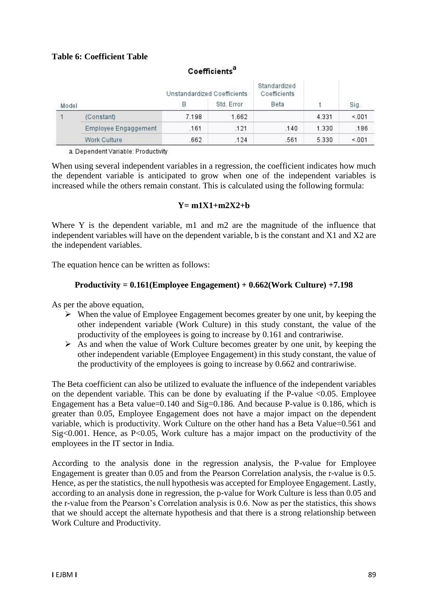## **Table 6: Coefficient Table**

## Coefficients<sup>a</sup>

|       |                      | Unstandardized Coefficients |       | Standardized<br>Coefficients |       | Sig.  |
|-------|----------------------|-----------------------------|-------|------------------------------|-------|-------|
| Model |                      | Std. Error<br>В             |       | Beta                         |       |       |
|       | (Constant)           | 7.198                       | 1.662 |                              | 4.331 | < 001 |
|       | Employee Engaggement | .161                        | .121  | .140                         | 1.330 | .186  |
|       | Work Culture         | .662                        | .124  | .561                         | 5.330 | < 001 |

a. Dependent Variable: Productivity

When using several independent variables in a regression, the coefficient indicates how much the dependent variable is anticipated to grow when one of the independent variables is increased while the others remain constant. This is calculated using the following formula:

#### **Y= m1X1+m2X2+b**

Where Y is the dependent variable, m1 and m2 are the magnitude of the influence that independent variables will have on the dependent variable, b is the constant and X1 and X2 are the independent variables.

The equation hence can be written as follows:

#### **Productivity = 0.161(Employee Engagement) + 0.662(Work Culture) +7.198**

As per the above equation,

- $\triangleright$  When the value of Employee Engagement becomes greater by one unit, by keeping the other independent variable (Work Culture) in this study constant, the value of the productivity of the employees is going to increase by 0.161 and contrariwise.
- $\triangleright$  As and when the value of Work Culture becomes greater by one unit, by keeping the other independent variable (Employee Engagement) in this study constant, the value of the productivity of the employees is going to increase by 0.662 and contrariwise.

The Beta coefficient can also be utilized to evaluate the influence of the independent variables on the dependent variable. This can be done by evaluating if the P-value  $\langle 0.05$ . Employee Engagement has a Beta value=0.140 and Sig=0.186. And because P-value is 0.186, which is greater than 0.05, Employee Engagement does not have a major impact on the dependent variable, which is productivity. Work Culture on the other hand has a Beta Value=0.561 and Sig<0.001. Hence, as P<0.05, Work culture has a major impact on the productivity of the employees in the IT sector in India.

According to the analysis done in the regression analysis, the P-value for Employee Engagement is greater than 0.05 and from the Pearson Correlation analysis, the r-value is 0.5. Hence, as per the statistics, the null hypothesis was accepted for Employee Engagement. Lastly, according to an analysis done in regression, the p-value for Work Culture is less than 0.05 and the r-value from the Pearson's Correlation analysis is 0.6. Now as per the statistics, this shows that we should accept the alternate hypothesis and that there is a strong relationship between Work Culture and Productivity.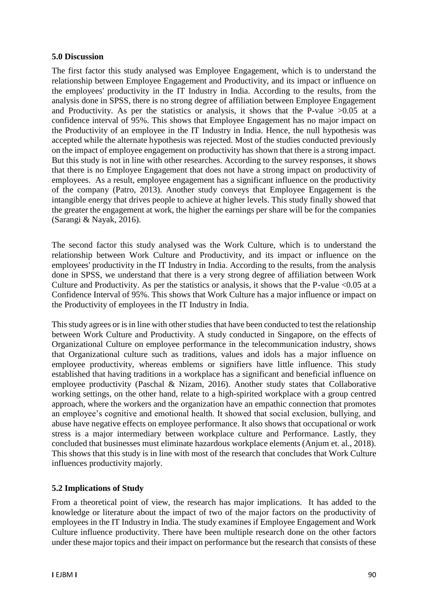#### **5.0 Discussion**

The first factor this study analysed was Employee Engagement, which is to understand the relationship between Employee Engagement and Productivity, and its impact or influence on the employees' productivity in the IT Industry in India. According to the results, from the analysis done in SPSS, there is no strong degree of affiliation between Employee Engagement and Productivity. As per the statistics or analysis, it shows that the P-value  $>0.05$  at a confidence interval of 95%. This shows that Employee Engagement has no major impact on the Productivity of an employee in the IT Industry in India. Hence, the null hypothesis was accepted while the alternate hypothesis was rejected. Most of the studies conducted previously on the impact of employee engagement on productivity has shown that there is a strong impact. But this study is not in line with other researches. According to the survey responses, it shows that there is no Employee Engagement that does not have a strong impact on productivity of employees. As a result, employee engagement has a significant influence on the productivity of the company (Patro, 2013). Another study conveys that Employee Engagement is the intangible energy that drives people to achieve at higher levels. This study finally showed that the greater the engagement at work, the higher the earnings per share will be for the companies (Sarangi & Nayak, 2016).

The second factor this study analysed was the Work Culture, which is to understand the relationship between Work Culture and Productivity, and its impact or influence on the employees' productivity in the IT Industry in India. According to the results, from the analysis done in SPSS, we understand that there is a very strong degree of affiliation between Work Culture and Productivity. As per the statistics or analysis, it shows that the P-value  $\langle 0.05 \rangle$  at a Confidence Interval of 95%. This shows that Work Culture has a major influence or impact on the Productivity of employees in the IT Industry in India.

This study agrees or is in line with other studies that have been conducted to test the relationship between Work Culture and Productivity. A study conducted in Singapore, on the effects of Organizational Culture on employee performance in the telecommunication industry, shows that Organizational culture such as traditions, values and idols has a major influence on employee productivity, whereas emblems or signifiers have little influence. This study established that having traditions in a workplace has a significant and beneficial influence on employee productivity (Paschal & Nizam, 2016). Another study states that Collaborative working settings, on the other hand, relate to a high-spirited workplace with a group centred approach, where the workers and the organization have an empathic connection that promotes an employee's cognitive and emotional health. It showed that social exclusion, bullying, and abuse have negative effects on employee performance. It also shows that occupational or work stress is a major intermediary between workplace culture and Performance. Lastly, they concluded that businesses must eliminate hazardous workplace elements (Anjum et. al., 2018). This shows that this study is in line with most of the research that concludes that Work Culture influences productivity majorly.

### **5.2 Implications of Study**

From a theoretical point of view, the research has major implications. It has added to the knowledge or literature about the impact of two of the major factors on the productivity of employees in the IT Industry in India. The study examines if Employee Engagement and Work Culture influence productivity. There have been multiple research done on the other factors under these major topics and their impact on performance but the research that consists of these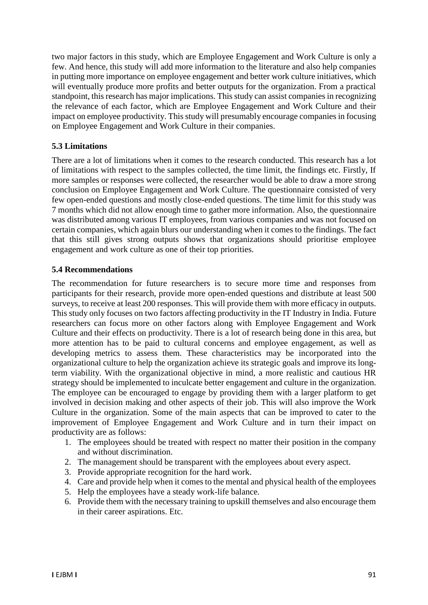two major factors in this study, which are Employee Engagement and Work Culture is only a few. And hence, this study will add more information to the literature and also help companies in putting more importance on employee engagement and better work culture initiatives, which will eventually produce more profits and better outputs for the organization. From a practical standpoint, this research has major implications. This study can assist companies in recognizing the relevance of each factor, which are Employee Engagement and Work Culture and their impact on employee productivity. This study will presumably encourage companies in focusing on Employee Engagement and Work Culture in their companies.

### **5.3 Limitations**

There are a lot of limitations when it comes to the research conducted. This research has a lot of limitations with respect to the samples collected, the time limit, the findings etc. Firstly, If more samples or responses were collected, the researcher would be able to draw a more strong conclusion on Employee Engagement and Work Culture. The questionnaire consisted of very few open-ended questions and mostly close-ended questions. The time limit for this study was 7 months which did not allow enough time to gather more information. Also, the questionnaire was distributed among various IT employees, from various companies and was not focused on certain companies, which again blurs our understanding when it comes to the findings. The fact that this still gives strong outputs shows that organizations should prioritise employee engagement and work culture as one of their top priorities.

#### **5.4 Recommendations**

The recommendation for future researchers is to secure more time and responses from participants for their research, provide more open-ended questions and distribute at least 500 surveys, to receive at least 200 responses. This will provide them with more efficacy in outputs. This study only focuses on two factors affecting productivity in the IT Industry in India. Future researchers can focus more on other factors along with Employee Engagement and Work Culture and their effects on productivity. There is a lot of research being done in this area, but more attention has to be paid to cultural concerns and employee engagement, as well as developing metrics to assess them. These characteristics may be incorporated into the organizational culture to help the organization achieve its strategic goals and improve its longterm viability. With the organizational objective in mind, a more realistic and cautious HR strategy should be implemented to inculcate better engagement and culture in the organization. The employee can be encouraged to engage by providing them with a larger platform to get involved in decision making and other aspects of their job. This will also improve the Work Culture in the organization. Some of the main aspects that can be improved to cater to the improvement of Employee Engagement and Work Culture and in turn their impact on productivity are as follows:

- 1. The employees should be treated with respect no matter their position in the company and without discrimination.
- 2. The management should be transparent with the employees about every aspect.
- 3. Provide appropriate recognition for the hard work.
- 4. Care and provide help when it comes to the mental and physical health of the employees
- 5. Help the employees have a steady work-life balance.
- 6. Provide them with the necessary training to upskill themselves and also encourage them in their career aspirations. Etc.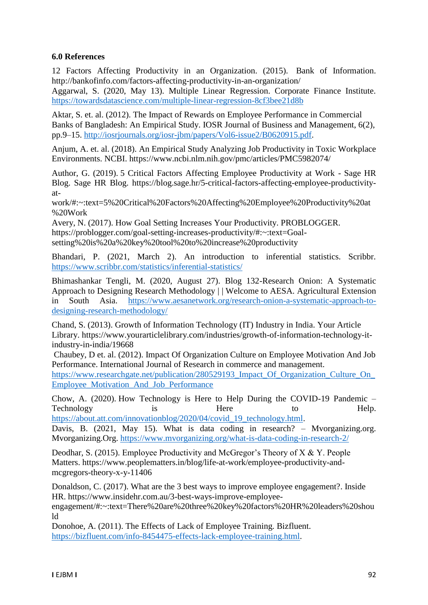#### **6.0 References**

12 Factors Affecting Productivity in an Organization. (2015). Bank of Information. http://bankofinfo.com/factors-affecting-productivity-in-an-organization/

Aggarwal, S. (2020, May 13). Multiple Linear Regression. Corporate Finance Institute. <https://towardsdatascience.com/multiple-linear-regression-8cf3bee21d8b>

Aktar, S. et. al. (2012). The Impact of Rewards on Employee Performance in Commercial Banks of Bangladesh: An Empirical Study. IOSR Journal of Business and Management, 6(2), pp.9–15. [http://iosrjournals.org/iosr-jbm/papers/Vol6-issue2/B0620915.pdf.](http://iosrjournals.org/iosr-jbm/papers/Vol6-issue2/B0620915.pdf)

Anjum, A. et. al. (2018). An Empirical Study Analyzing Job Productivity in Toxic Workplace Environments. NCBI. https://www.ncbi.nlm.nih.gov/pmc/articles/PMC5982074/

Author, G. (2019). 5 Critical Factors Affecting Employee Productivity at Work - Sage HR Blog. Sage HR Blog. https://blog.sage.hr/5-critical-factors-affecting-employee-productivityat-

work/#:~:text=5%20Critical%20Factors%20Affecting%20Employee%20Productivity%20at %20Work

Avery, N. (2017). How Goal Setting Increases Your Productivity. PROBLOGGER. https://problogger.com/goal-setting-increases-productivity/#:~:text=Goalsetting%20is%20a%20key%20tool%20to%20increase%20productivity

Bhandari, P. (2021, March 2). An introduction to inferential statistics. Scribbr. <https://www.scribbr.com/statistics/inferential-statistics/>

Bhimashankar Tengli, M. (2020, August 27). Blog 132-Research Onion: A Systematic Approach to Designing Research Methodology | | Welcome to AESA. Agricultural Extension in South Asia. [https://www.aesanetwork.org/research-onion-a-systematic-approach-to](https://www.aesanetwork.org/research-onion-a-systematic-approach-to-designing-research-methodology/)[designing-research-methodology/](https://www.aesanetwork.org/research-onion-a-systematic-approach-to-designing-research-methodology/)

Chand, S. (2013). Growth of Information Technology (IT) Industry in India. Your Article Library. https://www.yourarticlelibrary.com/industries/growth-of-information-technology-itindustry-in-india/19668

Chaubey, D et. al. (2012). Impact Of Organization Culture on Employee Motivation And Job Performance. International Journal of Research in commerce and management. https://www.researchgate.net/publication/280529193 Impact Of Organization Culture On [Employee\\_Motivation\\_And\\_Job\\_Performance](https://www.researchgate.net/publication/280529193_Impact_Of_Organization_Culture_On_Employee_Motivation_And_Job_Performance)

Chow, A. (2020). How Technology is Here to Help During the COVID-19 Pandemic – Technology is the Here to Help. [https://about.att.com/innovationblog/2020/04/covid\\_19\\_technology.html.](https://about.att.com/innovationblog/2020/04/covid_19_technology.html)

Davis, B. (2021, May 15). What is data coding in research? – Mvorganizing.org. Mvorganizing.Org.<https://www.mvorganizing.org/what-is-data-coding-in-research-2/>

Deodhar, S. (2015). Employee Productivity and McGregor's Theory of X & Y. People Matters. https://www.peoplematters.in/blog/life-at-work/employee-productivity-andmcgregors-theory-x-y-11406

Donaldson, C. (2017). What are the 3 best ways to improve employee engagement?. Inside HR. https://www.insidehr.com.au/3-best-ways-improve-employee-

engagement/#:~:text=There%20are%20three%20key%20factors%20HR%20leaders%20shou ld

Donohoe, A. (2011). The Effects of Lack of Employee Training. Bizfluent. [https://bizfluent.com/info-8454475-effects-lack-employee-training.html.](https://bizfluent.com/info-8454475-effects-lack-employee-training.html)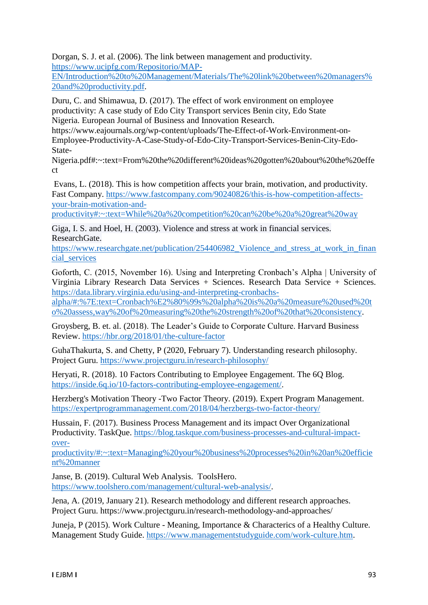Dorgan, S. J. et al. (2006). The link between management and productivity. [https://www.ucipfg.com/Repositorio/MAP-](https://www.ucipfg.com/Repositorio/MAP-EN/Introduction%20to%20Management/Materials/The%20link%20between%20managers%20and%20productivity.pdf)

[EN/Introduction%20to%20Management/Materials/The%20link%20between%20managers%](https://www.ucipfg.com/Repositorio/MAP-EN/Introduction%20to%20Management/Materials/The%20link%20between%20managers%20and%20productivity.pdf) [20and%20productivity.pdf.](https://www.ucipfg.com/Repositorio/MAP-EN/Introduction%20to%20Management/Materials/The%20link%20between%20managers%20and%20productivity.pdf)

Duru, C. and Shimawua, D. (2017). The effect of work environment on employee productivity: A case study of Edo City Transport services Benin city, Edo State Nigeria. European Journal of Business and Innovation Research.

https://www.eajournals.org/wp-content/uploads/The-Effect-of-Work-Environment-on-Employee-Productivity-A-Case-Study-of-Edo-City-Transport-Services-Benin-City-Edo-State-

Nigeria.pdf#:~:text=From%20the%20different%20ideas%20gotten%20about%20the%20effe ct

Evans, L. (2018). This is how competition affects your brain, motivation, and productivity. Fast Company. [https://www.fastcompany.com/90240826/this-is-how-competition-affects](https://www.fastcompany.com/90240826/this-is-how-competition-affects-your-brain-motivation-and-productivity#:~:text=While%20a%20competition%20can%20be%20a%20great%20way)[your-brain-motivation-and-](https://www.fastcompany.com/90240826/this-is-how-competition-affects-your-brain-motivation-and-productivity#:~:text=While%20a%20competition%20can%20be%20a%20great%20way)

[productivity#:~:text=While%20a%20competition%20can%20be%20a%20great%20way](https://www.fastcompany.com/90240826/this-is-how-competition-affects-your-brain-motivation-and-productivity#:~:text=While%20a%20competition%20can%20be%20a%20great%20way)

Giga, I. S. and Hoel, H. (2003). Violence and stress at work in financial services. ResearchGate.

https://www.researchgate.net/publication/254406982 Violence and stress at work in finan cial services

Goforth, C. (2015, November 16). Using and Interpreting Cronbach's Alpha | University of Virginia Library Research Data Services + Sciences. Research Data Service + Sciences. [https://data.library.virginia.edu/using-and-interpreting-cronbachs-](https://data.library.virginia.edu/using-and-interpreting-cronbachs-alpha/#:%7E:text=Cronbach%E2%80%99s%20alpha%20is%20a%20measure%20used%20to%20assess,way%20of%20measuring%20the%20strength%20of%20that%20consistency)

[alpha/#:%7E:text=Cronbach%E2%80%99s%20alpha%20is%20a%20measure%20used%20t](https://data.library.virginia.edu/using-and-interpreting-cronbachs-alpha/#:%7E:text=Cronbach%E2%80%99s%20alpha%20is%20a%20measure%20used%20to%20assess,way%20of%20measuring%20the%20strength%20of%20that%20consistency) [o%20assess,way%20of%20measuring%20the%20strength%20of%20that%20consistency.](https://data.library.virginia.edu/using-and-interpreting-cronbachs-alpha/#:%7E:text=Cronbach%E2%80%99s%20alpha%20is%20a%20measure%20used%20to%20assess,way%20of%20measuring%20the%20strength%20of%20that%20consistency)

Groysberg, B. et. al. (2018). The Leader's Guide to Corporate Culture. Harvard Business Review.<https://hbr.org/2018/01/the-culture-factor>

GuhaThakurta, S. and Chetty, P (2020, February 7). Understanding research philosophy. Project Guru.<https://www.projectguru.in/research-philosophy/>

Heryati, R. (2018). 10 Factors Contributing to Employee Engagement. The 6Q Blog. [https://inside.6q.io/10-factors-contributing-employee-engagement/.](https://inside.6q.io/10-factors-contributing-employee-engagement/)

Herzberg's Motivation Theory -Two Factor Theory. (2019). Expert Program Management. <https://expertprogrammanagement.com/2018/04/herzbergs-two-factor-theory/>

Hussain, F. (2017). Business Process Management and its impact Over Organizational Productivity. TaskQue. [https://blog.taskque.com/business-processes-and-cultural-impact](https://blog.taskque.com/business-processes-and-cultural-impact-over-productivity/#:~:text=Managing%20your%20business%20processes%20in%20an%20efficient%20manner)[over-](https://blog.taskque.com/business-processes-and-cultural-impact-over-productivity/#:~:text=Managing%20your%20business%20processes%20in%20an%20efficient%20manner)

[productivity/#:~:text=Managing%20your%20business%20processes%20in%20an%20efficie](https://blog.taskque.com/business-processes-and-cultural-impact-over-productivity/#:~:text=Managing%20your%20business%20processes%20in%20an%20efficient%20manner) [nt%20manner](https://blog.taskque.com/business-processes-and-cultural-impact-over-productivity/#:~:text=Managing%20your%20business%20processes%20in%20an%20efficient%20manner)

Janse, B. (2019). Cultural Web Analysis. ToolsHero. [https://www.toolshero.com/management/cultural-web-analysis/.](https://www.toolshero.com/management/cultural-web-analysis/)

Jena, A. (2019, January 21). Research methodology and different research approaches. Project Guru. https://www.projectguru.in/research-methodology-and-approaches/

Juneja, P (2015). Work Culture - Meaning, Importance & Characterics of a Healthy Culture. Management Study Guide. [https://www.managementstudyguide.com/work-culture.htm.](https://www.managementstudyguide.com/work-culture.htm)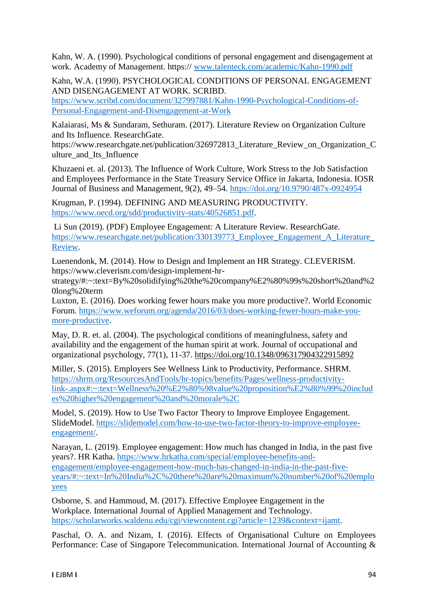Kahn, W. A. (1990). Psychological conditions of personal engagement and disengagement at work. Academy of Management. https:// [www.talenteck.com/academic/Kahn-1990.pdf](http://www.talenteck.com/academic/Kahn-1990.pdf)

Kahn, W.A. (1990). PSYCHOLOGICAL CONDITIONS OF PERSONAL ENGAGEMENT AND DISENGAGEMENT AT WORK. SCRIBD.

[https://www.scribd.com/document/327997881/Kahn-1990-Psychological-Conditions-of-](https://www.scribd.com/document/327997881/Kahn-1990-Psychological-Conditions-of-Personal-Engagement-and-Disengagement-at-Work)[Personal-Engagement-and-Disengagement-at-Work](https://www.scribd.com/document/327997881/Kahn-1990-Psychological-Conditions-of-Personal-Engagement-and-Disengagement-at-Work)

Kalaiarasi, Ms & Sundaram, Sethuram. (2017). Literature Review on Organization Culture and Its Influence. ResearchGate.

https://www.researchgate.net/publication/326972813\_Literature\_Review\_on\_Organization\_C ulture and Its Influence

Khuzaeni et. al. (2013). The Influence of Work Culture, Work Stress to the Job Satisfaction and Employees Performance in the State Treasury Service Office in Jakarta, Indonesia. IOSR Journal of Business and Management, 9(2), 49–54.<https://doi.org/10.9790/487x-0924954>

Krugman, P. (1994). DEFINING AND MEASURING PRODUCTIVITY. [https://www.oecd.org/sdd/productivity-stats/40526851.pdf.](https://www.oecd.org/sdd/productivity-stats/40526851.pdf)

Li Sun (2019). (PDF) Employee Engagement: A Literature Review. ResearchGate. [https://www.researchgate.net/publication/330139773\\_Employee\\_Engagement\\_A\\_Literature\\_](https://www.researchgate.net/publication/330139773_Employee_Engagement_A_Literature_Review) [Review.](https://www.researchgate.net/publication/330139773_Employee_Engagement_A_Literature_Review)

Luenendonk, M. (2014). How to Design and Implement an HR Strategy. CLEVERISM. https://www.cleverism.com/design-implement-hr-

strategy/#:~:text=By%20solidifying%20the%20company%E2%80%99s%20short%20and%2 0long%20term

Luxton, E. (2016). Does working fewer hours make you more productive?. World Economic Forum. [https://www.weforum.org/agenda/2016/03/does-working-fewer-hours-make-you](https://www.weforum.org/agenda/2016/03/does-working-fewer-hours-make-you-more-productive)[more-productive.](https://www.weforum.org/agenda/2016/03/does-working-fewer-hours-make-you-more-productive)

May, D. R. et. al. (2004). The psychological conditions of meaningfulness, safety and availability and the engagement of the human spirit at work. Journal of occupational and organizational psychology, 77(1), 11-37.<https://doi.org/10.1348/096317904322915892>

Miller, S. (2015). Employers See Wellness Link to Productivity, Performance. SHRM. [https://shrm.org/ResourcesAndTools/hr-topics/benefits/Pages/wellness-productivity](https://shrm.org/ResourcesAndTools/hr-topics/benefits/Pages/wellness-productivity-link-.aspx#:~:text=Wellness%20%E2%80%98value%20proposition%E2%80%99%20includes%20higher%20engagement%20and%20morale%2C)[link-.aspx#:~:text=Wellness%20%E2%80%98value%20proposition%E2%80%99%20includ](https://shrm.org/ResourcesAndTools/hr-topics/benefits/Pages/wellness-productivity-link-.aspx#:~:text=Wellness%20%E2%80%98value%20proposition%E2%80%99%20includes%20higher%20engagement%20and%20morale%2C) [es%20higher%20engagement%20and%20morale%2C](https://shrm.org/ResourcesAndTools/hr-topics/benefits/Pages/wellness-productivity-link-.aspx#:~:text=Wellness%20%E2%80%98value%20proposition%E2%80%99%20includes%20higher%20engagement%20and%20morale%2C)

Model, S. (2019). How to Use Two Factor Theory to Improve Employee Engagement. SlideModel. [https://slidemodel.com/how-to-use-two-factor-theory-to-improve-employee](https://slidemodel.com/how-to-use-two-factor-theory-to-improve-employee-engagement/)[engagement/.](https://slidemodel.com/how-to-use-two-factor-theory-to-improve-employee-engagement/)

Narayan, L. (2019). Employee engagement: How much has changed in India, in the past five years?. HR Katha. [https://www.hrkatha.com/special/employee-benefits-and](https://www.hrkatha.com/special/employee-benefits-and-engagement/employee-engagement-how-much-has-changed-in-india-in-the-past-five-years/#:~:text=In%20India%2C%20there%20are%20maximum%20number%20of%20employees)[engagement/employee-engagement-how-much-has-changed-in-india-in-the-past-five](https://www.hrkatha.com/special/employee-benefits-and-engagement/employee-engagement-how-much-has-changed-in-india-in-the-past-five-years/#:~:text=In%20India%2C%20there%20are%20maximum%20number%20of%20employees)[years/#:~:text=In%20India%2C%20there%20are%20maximum%20number%20of%20emplo](https://www.hrkatha.com/special/employee-benefits-and-engagement/employee-engagement-how-much-has-changed-in-india-in-the-past-five-years/#:~:text=In%20India%2C%20there%20are%20maximum%20number%20of%20employees) [yees](https://www.hrkatha.com/special/employee-benefits-and-engagement/employee-engagement-how-much-has-changed-in-india-in-the-past-five-years/#:~:text=In%20India%2C%20there%20are%20maximum%20number%20of%20employees)

Osborne, S. and Hammoud, M. (2017). Effective Employee Engagement in the Workplace. International Journal of Applied Management and Technology. [https://scholarworks.waldenu.edu/cgi/viewcontent.cgi?article=1239&context=ijamt.](https://scholarworks.waldenu.edu/cgi/viewcontent.cgi?article=1239&context=ijamt)

Paschal, O. A. and Nizam, I. (2016). Effects of Organisational Culture on Employees Performance: Case of Singapore Telecommunication. International Journal of Accounting &